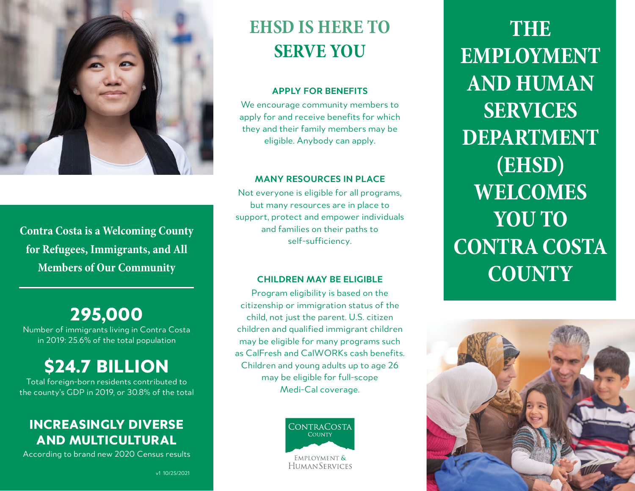

**Contra Costa is a Welcoming County for Refugees, Immigrants, and All Members of Our Community**

295,000

Number of immigrants living in Contra Costa in 2019: 25.6% of the total population

### \$24.7 BILLION

Total foreign-born residents contributed to the county's GDP in 2019, or 30.8% of the total

#### INCREASINGLY DIVERSE AND MULTICULTURAL

According to brand new 2020 Census results

# **EHSD IS HERE TO SERVE YOU**

#### **APPLY FOR BENEFITS**

We encourage community members to apply for and receive benefits for which they and their family members may be eligible. Anybody can apply.

#### **MANY RESOURCES IN PLACE**

Not everyone is eligible for all programs, but many resources are in place to support, protect and empower individuals and families on their paths to self-sufficiency.

#### **CHILDREN MAY BE ELIGIBLE**

Program eligibility is based on the citizenship or immigration status of the child, not just the parent. U.S. citizen children and qualified immigrant children may be eligible for many programs such as CalFresh and CalWORKs cash benefits. Children and young adults up to age 26 may be eligible for full-scope Medi-Cal coverage.



**THE EMPLOYMENT AND HUMAN SERVICES DEPARTMENT (EHSD) WELCOMES YOU TO CONTRA COSTA COUNTY**